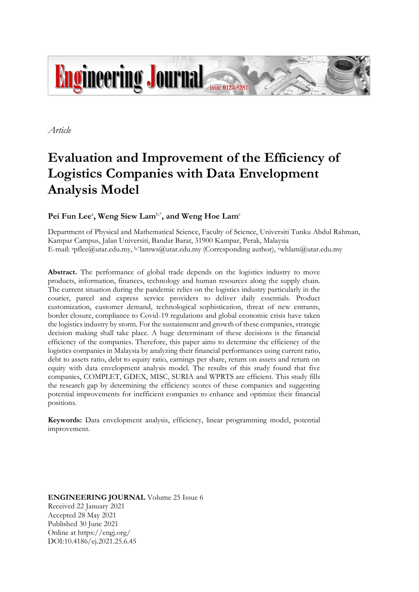

*Article*

# **Evaluation and Improvement of the Efficiency of Logistics Companies with Data Envelopment Analysis Model**

# $\mathbf{P}\mathbf{e} \mathbf{i}$   $\mathbf{F} \mathbf{u} \mathbf{n}$   $\mathbf{L}\mathbf{e} \mathbf{e}^{\mathbf{i}}$ ,  $\mathbf{W}\mathbf{e} \mathbf{n}$   $\mathbf{g}$   $\mathbf{S} \mathbf{i} \mathbf{e} \mathbf{w}$   $\mathbf{L}\mathbf{a} \mathbf{m}^{\text{b}}$   $\mathbf{m}$   $\mathbf{v}$   $\mathbf{w}$   $\mathbf{e} \mathbf{n}$   $\mathbf{e} \mathbf{n}$   $\mathbf{e} \mathbf{n}$   $\mathbf{e}$

Department of Physical and Mathematical Science, Faculty of Science, Universiti Tunku Abdul Rahman, Kampar Campus, Jalan Universiti, Bandar Barat, 31900 Kampar, Perak, Malaysia E-mail: <sup>a</sup>pflee@utar.edu.my, b,\*lamws@utar.edu.my (Corresponding author), cwhlam@utar.edu.my

**Abstract.** The performance of global trade depends on the logistics industry to move products, information, finances, technology and human resources along the supply chain. The current situation during the pandemic relies on the logistics industry particularly in the courier, parcel and express service providers to deliver daily essentials. Product customization, customer demand, technological sophistication, threat of new entrants, border closure, compliance to Covid-19 regulations and global economic crisis have taken the logistics industry by storm. For the sustainment and growth of these companies, strategic decision making shall take place. A huge determinant of these decisions is the financial efficiency of the companies. Therefore, this paper aims to determine the efficiency of the logistics companies in Malaysia by analyzing their financial performances using current ratio, debt to assets ratio, debt to equity ratio, earnings per share, return on assets and return on equity with data envelopment analysis model. The results of this study found that five companies, COMPLET, GDEX, MISC, SURIA and WPRTS are efficient. This study fills the research gap by determining the efficiency scores of these companies and suggesting potential improvements for inefficient companies to enhance and optimize their financial positions.

**Keywords:** Data envelopment analysis, efficiency, linear programming model, potential improvement.

**ENGINEERING JOURNAL** Volume 25 Issue 6 Received 22 January 2021 Accepted 28 May 2021 Published 30 June 2021 Online at https://engj.org/ DOI:10.4186/ej.2021.25.6.45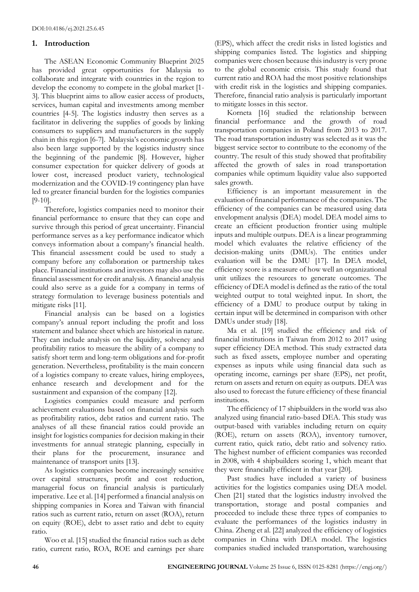## **1. Introduction**

The ASEAN Economic Community Blueprint 2025 has provided great opportunities for Malaysia to collaborate and integrate with countries in the region to develop the economy to compete in the global market [1- 3]. This blueprint aims to allow easier access of products, services, human capital and investments among member countries [4-5]. The logistics industry then serves as a facilitator in delivering the supplies of goods by linking consumers to suppliers and manufacturers in the supply chain in this region [6-7]. Malaysia's economic growth has also been large supported by the logistics industry since the beginning of the pandemic [8]. However, higher consumer expectation for quicker delivery of goods at lower cost, increased product variety, technological modernization and the COVID-19 contingency plan have led to greater financial burden for the logistics companies [9-10].

Therefore, logistics companies need to monitor their financial performance to ensure that they can cope and survive through this period of great uncertainty. Financial performance serves as a key performance indicator which conveys information about a company's financial health. This financial assessment could be used to study a company before any collaboration or partnership takes place. Financial institutions and investors may also use the financial assessment for credit analysis. A financial analysis could also serve as a guide for a company in terms of strategy formulation to leverage business potentials and mitigate risks [11].

Financial analysis can be based on a logistics company's annual report including the profit and loss statement and balance sheet which are historical in nature. They can include analysis on the liquidity, solvency and profitability ratios to measure the ability of a company to satisfy short term and long-term obligations and for-profit generation. Nevertheless, profitability is the main concern of a logistics company to create values, hiring employees, enhance research and development and for the sustainment and expansion of the company [12].

Logistics companies could measure and perform achievement evaluations based on financial analysis such as profitability ratios, debt ratios and current ratio. The analyses of all these financial ratios could provide an insight for logistics companies for decision making in their investments for annual strategic planning, especially in their plans for the procurement, insurance and maintenance of transport units [13].

As logistics companies become increasingly sensitive over capital structures, profit and cost reduction, managerial focus on financial analysis is particularly imperative. Lee et al. [14] performed a financial analysis on shipping companies in Korea and Taiwan with financial ratios such as current ratio, return on asset (ROA), return on equity (ROE), debt to asset ratio and debt to equity ratio.

Woo et al. [15] studied the financial ratios such as debt ratio, current ratio, ROA, ROE and earnings per share

(EPS), which affect the credit risks in listed logistics and shipping companies listed. The logistics and shipping companies were chosen because this industry is very prone to the global economic crisis. This study found that current ratio and ROA had the most positive relationships with credit risk in the logistics and shipping companies. Therefore, financial ratio analysis is particularly important to mitigate losses in this sector.

Korneta [16] studied the relationship between financial performance and the growth of road transportation companies in Poland from 2013 to 2017. The road transportation industry was selected as it was the biggest service sector to contribute to the economy of the country. The result of this study showed that profitability affected the growth of sales in road transportation companies while optimum liquidity value also supported sales growth.

Efficiency is an important measurement in the evaluation of financial performance of the companies. The efficiency of the companies can be measured using data envelopment analysis (DEA) model. DEA model aims to create an efficient production frontier using multiple inputs and multiple outputs. DEA is a linear programming model which evaluates the relative efficiency of the decision-making units (DMUs). The entities under evaluation will be the DMU [17]. In DEA model, efficiency score is a measure of how well an organizational unit utilizes the resources to generate outcomes. The efficiency of DEA model is defined as the ratio of the total weighted output to total weighted input. In short, the efficiency of a DMU to produce output by taking in certain input will be determined in comparison with other DMUs under study [18].

Ma et al. [19] studied the efficiency and risk of financial institutions in Taiwan from 2012 to 2017 using super efficiency DEA method. This study extracted data such as fixed assets, employee number and operating expenses as inputs while using financial data such as operating income, earnings per share (EPS), net profit, return on assets and return on equity as outputs. DEA was also used to forecast the future efficiency of these financial institutions.

The efficiency of 17 shipbuilders in the world was also analyzed using financial ratio-based DEA. This study was output-based with variables including return on equity (ROE), return on assets (ROA), inventory turnover, current ratio, quick ratio, debt ratio and solvency ratio. The highest number of efficient companies was recorded in 2008, with 4 shipbuilders scoring 1, which meant that they were financially efficient in that year [20].

Past studies have included a variety of business activities for the logistics companies using DEA model. Chen [21] stated that the logistics industry involved the transportation, storage and postal companies and proceeded to include these three types of companies to evaluate the performances of the logistics industry in China. Zheng et al. [22] analyzed the efficiency of logistics companies in China with DEA model. The logistics companies studied included transportation, warehousing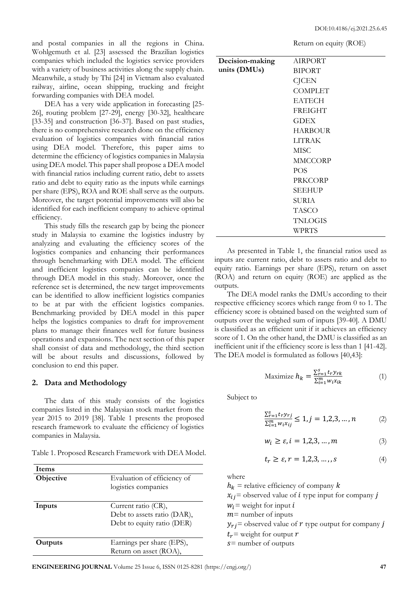Return on equity (ROE)

and postal companies in all the regions in China. Wohlgemuth et al. [23] assessed the Brazilian logistics companies which included the logistics service providers with a variety of business activities along the supply chain. Meanwhile, a study by Thi [24] in Vietnam also evaluated railway, airline, ocean shipping, trucking and freight forwarding companies with DEA model.

DEA has a very wide application in forecasting [25- 26], routing problem [27-29], energy [30-32], healthcare [33-35] and construction [36-37]. Based on past studies, there is no comprehensive research done on the efficiency evaluation of logistics companies with financial ratios using DEA model. Therefore, this paper aims to determine the efficiency of logistics companies in Malaysia using DEA model. This paper shall propose a DEA model with financial ratios including current ratio, debt to assets ratio and debt to equity ratio as the inputs while earnings per share (EPS), ROA and ROE shall serve as the outputs. Moreover, the target potential improvements will also be identified for each inefficient company to achieve optimal efficiency.

This study fills the research gap by being the pioneer study in Malaysia to examine the logistics industry by analyzing and evaluating the efficiency scores of the logistics companies and enhancing their performances through benchmarking with DEA model. The efficient and inefficient logistics companies can be identified through DEA model in this study. Moreover, once the reference set is determined, the new target improvements can be identified to allow inefficient logistics companies to be at par with the efficient logistics companies. Benchmarking provided by DEA model in this paper helps the logistics companies to draft for improvement plans to manage their finances well for future business operations and expansions. The next section of this paper shall consist of data and methodology, the third section will be about results and discussions, followed by conclusion to end this paper.

#### **2. Data and Methodology**

The data of this study consists of the logistics companies listed in the Malaysian stock market from the year 2015 to 2019 [38]. Table 1 presents the proposed research framework to evaluate the efficiency of logistics companies in Malaysia.

Table 1. Proposed Research Framework with DEA Model.

| Items     |                                                                                  |
|-----------|----------------------------------------------------------------------------------|
| Objective | Evaluation of efficiency of<br>logistics companies                               |
| Inputs    | Current ratio (CR),<br>Debt to assets ratio (DAR),<br>Debt to equity ratio (DER) |
| Outputs   | Earnings per share (EPS),<br>Return on asset (ROA),                              |

| Decision-making | <b>AIRPORT</b> |
|-----------------|----------------|
| units (DMUs)    | <b>BIPORT</b>  |
|                 | <b>CJCEN</b>   |
|                 | <b>COMPLET</b> |
|                 | <b>EATECH</b>  |
|                 | <b>FREIGHT</b> |
|                 | <b>GDEX</b>    |
|                 | HARBOUR        |
|                 | <b>LITRAK</b>  |
|                 | <b>MISC</b>    |
|                 | <b>MMCCORP</b> |
|                 | <b>POS</b>     |
|                 | PRKCORP        |
|                 | <b>SEEHUP</b>  |
|                 | SURIA          |
|                 | <b>TASCO</b>   |
|                 | <b>TNLOGIS</b> |
|                 | WPRTS          |

As presented in Table 1, the financial ratios used as inputs are current ratio, debt to assets ratio and debt to equity ratio. Earnings per share (EPS), return on asset (ROA) and return on equity (ROE) are applied as the outputs.

The DEA model ranks the DMUs according to their respective efficiency scores which range from 0 to 1. The efficiency score is obtained based on the weighted sum of outputs over the weighed sum of inputs [39-40]. A DMU is classified as an efficient unit if it achieves an efficiency score of 1. On the other hand, the DMU is classified as an inefficient unit if the efficiency score is less than 1 [41-42]. The DEA model is formulated as follows [40,43]:

Maximize 
$$
h_k = \frac{\sum_{r=1}^{S} t_r y_{rk}}{\sum_{i=1}^{m} w_i x_{ik}}
$$
 (1)

Subject to

$$
\frac{\sum_{r=1}^{s} t_{r} y_{rj}}{\sum_{l=1}^{m} w_{i} x_{lj}} \le 1, j = 1, 2, 3, \dots, n \tag{2}
$$

$$
w_i \ge \varepsilon, i = 1, 2, 3, \dots, m \tag{3}
$$

$$
t_r \ge \varepsilon, r = 1, 2, 3, \dots, s \tag{4}
$$

where

 $h_k$  = relative efficiency of company k  $x_{ij}$  = observed value of *i* type input for company *j*  $W_i$  = weight for input *i*  $m$  = number of inputs  $y_{ri}$  = observed value of r type output for company j  $t_r$  = weight for output  $r$  $s$  = number of outputs

**ENGINEERING JOURNAL** Volume 25 Issue 6, ISSN 0125-8281 (https://engj.org/) **47**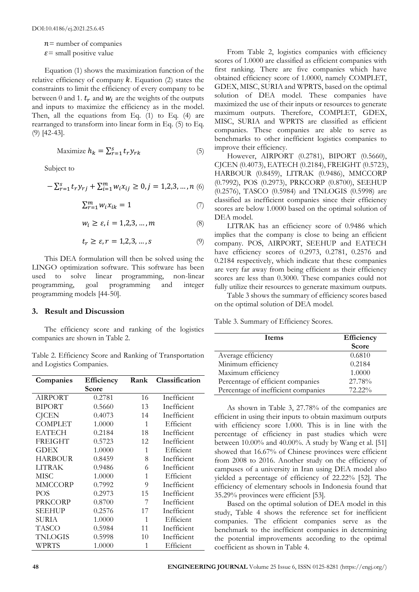$n$ = number of companies

 $\varepsilon$  = small positive value

Equation (1) shows the maximization function of the relative efficiency of company  $k$ . Equation (2) states the constraints to limit the efficiency of every company to be between 0 and 1.  $t_r$  and  $w_i$  are the weights of the outputs and inputs to maximize the efficiency as in the model. Then, all the equations from Eq. (1) to Eq. (4) are rearranged to transform into linear form in Eq. (5) to Eq. (9) [42-43].

$$
\text{Maximize } h_k = \sum_{r=1}^{s} t_r y_{rk} \tag{5}
$$

Subject to

$$
-\textstyle \sum_{r=1}^s t_r y_{rj} + \sum_{i=1}^m w_i x_{ij} \geq 0, j=1,2,3,\ldots,n \; (6)
$$

$$
\sum_{r=1}^{m} w_i x_{ik} = 1 \tag{7}
$$

$$
w_i \ge \varepsilon, i = 1, 2, 3, \dots, m \tag{8}
$$

$$
t_r \ge \varepsilon, r = 1, 2, 3, \dots, s \tag{9}
$$

This DEA formulation will then be solved using the LINGO optimization software. This software has been used to solve linear programming, non-linear programming, goal programming and integer programming models [44-50].

#### **3. Result and Discussion**

The efficiency score and ranking of the logistics companies are shown in Table 2.

Table 2. Efficiency Score and Ranking of Transportation and Logistics Companies.

| Companies      | Efficiency | Rank | Classification |
|----------------|------------|------|----------------|
|                | Score      |      |                |
| <b>AIRPORT</b> | 0.2781     | 16   | Inefficient    |
| <b>BIPORT</b>  | 0.5660     | 13   | Inefficient    |
| <b>CJCEN</b>   | 0.4073     | 14   | Inefficient    |
| <b>COMPLET</b> | 1.0000     | 1    | Efficient      |
| <b>EATECH</b>  | 0.2184     | 18   | Inefficient    |
| <b>FREIGHT</b> | 0.5723     | 12   | Inefficient    |
| GDEX           | 1.0000     | 1    | Efficient      |
| HARBOUR        | 0.8459     | 8    | Inefficient    |
| LITRAK         | 0.9486     | 6    | Inefficient    |
| MISC           | 1.0000     | 1    | Efficient      |
| MMCCORP        | 0.7992     | 9    | Inefficient    |
| <b>POS</b>     | 0.2973     | 15   | Inefficient    |
| PRKCORP        | 0.8700     | 7    | Inefficient    |
| <b>SEEHUP</b>  | 0.2576     | 17   | Inefficient    |
| <b>SURIA</b>   | 1.0000     | 1    | Efficient      |
| TASCO          | 0.5984     | 11   | Inefficient    |
| TNLOGIS        | 0.5998     | 10   | Inefficient    |
| WPRTS          | 1.0000     | 1    | Efficient      |

From Table 2, logistics companies with efficiency scores of 1.0000 are classified as efficient companies with first ranking. There are five companies which have obtained efficiency score of 1.0000, namely COMPLET, GDEX, MISC, SURIA and WPRTS, based on the optimal solution of DEA model. These companies have maximized the use of their inputs or resources to generate maximum outputs. Therefore, COMPLET, GDEX, MISC, SURIA and WPRTS are classified as efficient companies. These companies are able to serve as benchmarks to other inefficient logistics companies to improve their efficiency.

However, AIRPORT (0.2781), BIPORT (0.5660), CJCEN (0.4073), EATECH (0.2184), FREIGHT (0.5723), HARBOUR (0.8459), LITRAK (0.9486), MMCCORP (0.7992), POS (0.2973), PRKCORP (0.8700), SEEHUP (0.2576), TASCO (0.5984) and TNLOGIS (0.5998) are classified as inefficient companies since their efficiency scores are below 1.0000 based on the optimal solution of DEA model.

LITRAK has an efficiency score of 0.9486 which implies that the company is close to being an efficient company. POS, AIRPORT, SEEHUP and EATECH have efficiency scores of 0.2973, 0.2781, 0.2576 and 0.2184 respectively, which indicate that these companies are very far away from being efficient as their efficiency scores are less than 0.3000. These companies could not fully utilize their resources to generate maximum outputs.

Table 3 shows the summary of efficiency scores based on the optimal solution of DEA model.

Table 3. Summary of Efficiency Scores.

| <b>Items</b>                        | Efficiency |
|-------------------------------------|------------|
|                                     | Score      |
| Average efficiency                  | 0.6810     |
| Minimum efficiency                  | 0.2184     |
| Maximum efficiency                  | 1.0000     |
| Percentage of efficient companies   | 27.78%     |
| Percentage of inefficient companies | 72.22%     |

As shown in Table 3, 27.78% of the companies are efficient in using their inputs to obtain maximum outputs with efficiency score 1.000. This is in line with the percentage of efficiency in past studies which were between 10.00% and 40.00%. A study by Wang et al. [51] showed that 16.67% of Chinese provinces were efficient from 2008 to 2016. Another study on the efficiency of campuses of a university in Iran using DEA model also yielded a percentage of efficiency of 22.22% [52]. The efficiency of elementary schools in Indonesia found that 35.29% provinces were efficient [53].

Based on the optimal solution of DEA model in this study, Table 4 shows the reference set for inefficient companies. The efficient companies serve as the benchmark to the inefficient companies in determining the potential improvements according to the optimal coefficient as shown in Table 4.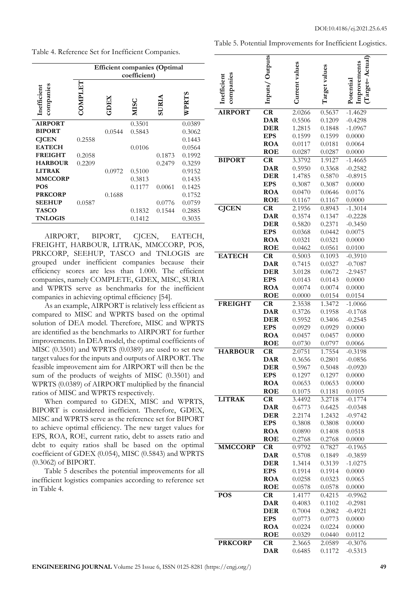Table 4. Reference Set for Inefficient Companies.

|                          | <b>Efficient companies (Optimal</b><br>coefficient) |        |        |              |        |
|--------------------------|-----------------------------------------------------|--------|--------|--------------|--------|
| companies<br>Inefficient | <b>LETIENOC</b>                                     | KEICE  | MISC   | <b>SURLA</b> | WPRTS  |
| <b>AIRPORT</b>           |                                                     |        | 0.3501 |              | 0.0389 |
| <b>BIPORT</b>            |                                                     | 0.0544 | 0.5843 |              | 0.3062 |
| <b>CJCEN</b>             | 0.2558                                              |        |        |              | 0.1443 |
| <b>EATECH</b>            |                                                     |        | 0.0106 |              | 0.0564 |
| <b>FREIGHT</b>           | 0.2058                                              |        |        | 0.1873       | 0.1992 |
| <b>HARBOUR</b>           | 0.2209                                              |        |        | 0.2479       | 0.3259 |
| <b>LITRAK</b>            |                                                     | 0.0972 | 0.5100 |              | 0.9152 |
| <b>MMCCORP</b>           |                                                     |        | 0.3813 |              | 0.1435 |
| <b>POS</b>               |                                                     |        | 0.1177 | 0.0061       | 0.1425 |
| <b>PRKCORP</b>           |                                                     | 0.1688 |        |              | 0.1752 |
| <b>SEEHUP</b>            | 0.0587                                              |        |        | 0.0776       | 0.0759 |
| <b>TASCO</b>             |                                                     |        | 0.1832 | 0.1544       | 0.2885 |
| <b>TNLOGIS</b>           |                                                     |        | 0.1412 |              | 0.3035 |

AIRPORT, BIPORT, CJCEN, EATECH, FREIGHT, HARBOUR, LITRAK, MMCCORP, POS, PRKCORP, SEEHUP, TASCO and TNLOGIS are grouped under inefficient companies because their efficiency scores are less than 1.000. The efficient companies, namely COMPLETE, GDEX, MISC, SURIA and WPRTS serve as benchmarks for the inefficient companies in achieving optimal efficiency [54].

As an example, AIRPORT is relatively less efficient as compared to MISC and WPRTS based on the optimal solution of DEA model. Therefore, MISC and WPRTS are identified as the benchmarks to AIRPORT for further improvements. In DEA model, the optimal coefficients of MISC (0.3501) and WPRTS (0.0389) are used to set new target values for the inputs and outputs of AIRPORT. The feasible improvement aim for AIRPORT will then be the sum of the products of weights of MISC (0.3501) and WPRTS (0.0389) of AIRPORT multiplied by the financial ratios of MISC and WPRTS respectively.

When compared to GDEX, MISC and WPRTS, BIPORT is considered inefficient. Therefore, GDEX, MISC and WPRTS serve as the reference set for BIPORT to achieve optimal efficiency. The new target values for EPS, ROA, ROE, current ratio, debt to assets ratio and debt to equity ratios shall be based on the optimal coefficient of GDEX (0.054), MISC (0.5843) and WPRTS (0.3062) of BIPORT.

Table 5 describes the potential improvements for all inefficient logistics companies according to reference set in Table 4.

|  | Table 5. Potential Improvements for Inefficient Logistics. |  |  |
|--|------------------------------------------------------------|--|--|
|  |                                                            |  |  |

|                          | Inputs/Outputs           | Current values   | Target values    | l arget-Actual<br>Improvements |
|--------------------------|--------------------------|------------------|------------------|--------------------------------|
|                          |                          |                  |                  |                                |
| companies<br>Inefficient |                          |                  |                  | Potential                      |
|                          |                          |                  |                  |                                |
|                          |                          |                  |                  |                                |
| <b>AIRPORT</b>           | CR                       | 2.0266           | 0.5637           | $-1.4629$                      |
|                          | <b>DAR</b>               | 0.5506           | 0.1209           | $-0.4298$                      |
|                          | <b>DER</b>               | 1.2815           | 0.1848           | $-1.0967$                      |
|                          | <b>EPS</b>               | 0.1599           | 0.1599           | 0.0000                         |
|                          | <b>ROA</b>               | 0.0117           | 0.0181           | 0.0064                         |
|                          | <b>ROE</b>               | 0.0287           | 0.0287           | 0.0000                         |
| <b>BIPORT</b>            | CR                       | 3.3792           | 1.9127           | $-1.4665$                      |
|                          | <b>DAR</b>               | 0.5950           | 0.3368           | $-0.2582$                      |
|                          | <b>DER</b>               | 1.4785           | 0.5870           | $-0.8915$                      |
|                          | <b>EPS</b>               | 0.3087           | 0.3087           | 0.0000                         |
|                          | <b>ROA</b>               | 0.0470           | 0.0646           | 0.0176                         |
|                          | <b>ROE</b>               | 0.1167           | 0.1167           | 0.0000                         |
| <b>CJCEN</b>             | CR                       | 2.1956           | 0.8943           | $-1.3014$                      |
|                          | <b>DAR</b>               | 0.3574           | 0.1347           | $-0.2228$                      |
|                          | <b>DER</b>               | 0.5820           | 0.2371           | $-0.3450$                      |
|                          | <b>EPS</b>               | 0.0368           | 0.0442           | 0.0075                         |
|                          | <b>ROA</b>               | 0.0321           | 0.0321           | 0.0000                         |
|                          | <b>ROE</b>               | 0.0462           | 0.0561           | 0.0100                         |
| <b>EATECH</b>            | CR                       | 0.5003           | 0.1093           | $-0.3910$                      |
|                          | <b>DAR</b>               | 0.7415           | 0.0327           | $-0.7087$                      |
|                          | <b>DER</b>               | 3.0128           | 0.0672           | $-2.9457$                      |
|                          | <b>EPS</b>               | 0.0143           | 0.0143           | 0.0000                         |
|                          | <b>ROA</b><br><b>ROE</b> | 0.0074           | 0.0074           | 0.0000                         |
| <b>FREIGHT</b>           | CR                       | 0.0000<br>2.3538 | 0.0154<br>1.3472 | 0.0154<br>$-1.0066$            |
|                          | <b>DAR</b>               | 0.3726           | 0.1958           | $-0.1768$                      |
|                          | <b>DER</b>               | 0.5952           | 0.3406           | $-0.2545$                      |
|                          | <b>EPS</b>               | 0.0929           | 0.0929           | 0.0000                         |
|                          | <b>ROA</b>               | 0.0457           | 0.0457           | 0.0000                         |
|                          | <b>ROE</b>               | 0.0730           | 0.0797           | 0.0066                         |
| <b>HARBOUR</b>           | CR                       | 2.0751           | 1.7554           | $-0.3198$                      |
|                          | <b>DAR</b>               | 0.3656           | 0.2801           | $-0.0856$                      |
|                          | DER                      | 0.5967           | 0.5048           | $-0.0920$                      |
|                          | <b>EPS</b>               | 0.1297           | 0.1297           | 0.0000                         |
|                          | <b>ROA</b>               | 0.0653           | 0.0653           | 0.0000                         |
|                          | <b>ROE</b>               | 0.1075           | 0.1181           | 0.0105                         |
| <b>LITRAK</b>            | CR                       | 3.4492           | 3.2718           | $-0.1774$                      |
|                          | <b>DAR</b>               | 0.6773           | 0.6425           | $-0.0348$                      |
|                          | <b>DER</b>               | 2.2174           | 1.2432           | $-0.9742$                      |
|                          | <b>EPS</b>               | 0.3808           | 0.3808           | 0.0000                         |
|                          | <b>ROA</b>               | 0.0890           | 0.1408           | 0.0518                         |
|                          | ROE                      | 0.2768           | 0.2768           | 0.0000                         |
| <b>MMCCORP</b>           | CR                       | 0.9792           | 0.7827           | $-0.1965$                      |
|                          | <b>DAR</b>               | 0.5708           | 0.1849           | $-0.3859$                      |
|                          | <b>DER</b><br><b>EPS</b> | 1.3414<br>0.1914 | 0.3139<br>0.1914 | $-1.0275$<br>0.0000            |
|                          | <b>ROA</b>               | 0.0258           | 0.0323           | 0.0065                         |
|                          | <b>ROE</b>               | 0.0578           | 0.0578           | 0.0000                         |
| <b>POS</b>               | CR                       | 1.4177           | 0.4215           | $-0.9962$                      |
|                          | <b>DAR</b>               | 0.4083           | 0.1102           | $-0.2981$                      |
|                          | <b>DER</b>               | 0.7004           | 0.2082           | $-0.4921$                      |
|                          | <b>EPS</b>               | 0.0773           | 0.0773           | 0.0000                         |
|                          | <b>ROA</b>               | 0.0224           | 0.0224           | 0.0000                         |
|                          | <b>ROE</b>               | 0.0329           | 0.0440           | 0.0112                         |
| <b>PRKCORP</b>           | CR                       | 2.3665           | 2.0589           | $-0.3076$                      |
|                          | <b>DAR</b>               | 0.6485           | 0.1172           | $-0.5313$                      |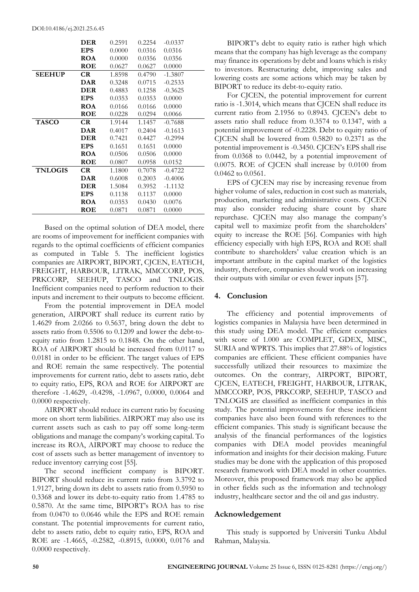|                | <b>DER</b> | 0.2591 | 0.2254 | $-0.0337$ |
|----------------|------------|--------|--------|-----------|
|                | <b>EPS</b> | 0.0000 | 0.0316 | 0.0316    |
|                | <b>ROA</b> | 0.0000 | 0.0356 | 0.0356    |
|                | ROE        | 0.0627 | 0.0627 | 0.0000    |
| <b>SEEHUP</b>  | CR.        | 1.8598 | 0.4790 | $-1.3807$ |
|                | DAR        | 0.3248 | 0.0715 | $-0.2533$ |
|                | <b>DER</b> | 0.4883 | 0.1258 | $-0.3625$ |
|                | <b>EPS</b> | 0.0353 | 0.0353 | 0.0000    |
|                | <b>ROA</b> | 0.0166 | 0.0166 | 0.0000    |
|                | ROE        | 0.0228 | 0.0294 | 0.0066    |
| <b>TASCO</b>   | CR.        | 1.9144 | 1.1457 | $-0.7688$ |
|                | DAR        | 0.4017 | 0.2404 | $-0.1613$ |
|                | <b>DER</b> | 0.7421 | 0.4427 | $-0.2994$ |
|                | EPS        | 0.1651 | 0.1651 | 0.0000    |
|                | <b>ROA</b> | 0.0506 | 0.0506 | 0.0000    |
|                | ROE        | 0.0807 | 0.0958 | 0.0152    |
| <b>TNLOGIS</b> | CR.        | 1.1800 | 0.7078 | $-0.4722$ |
|                | <b>DAR</b> | 0.6008 | 0.2003 | $-0.4006$ |
|                | <b>DER</b> | 1.5084 | 0.3952 | $-1.1132$ |
|                | EPS        | 0.1138 | 0.1137 | 0.0000    |
|                | <b>ROA</b> | 0.0353 | 0.0430 | 0.0076    |
|                | ROE        | 0.0871 | 0.0871 | 0.0000    |

Based on the optimal solution of DEA model, there are rooms of improvement for inefficient companies with regards to the optimal coefficients of efficient companies as computed in Table 5. The inefficient logistics companies are AIRPORT, BIPORT, CJCEN, EATECH, FREIGHT, HARBOUR, LITRAK, MMCCORP, POS, PRKCORP, SEEHUP, TASCO and TNLOGIS. Inefficient companies need to perform reduction to their inputs and increment to their outputs to become efficient.

From the potential improvement in DEA model generation, AIRPORT shall reduce its current ratio by 1.4629 from 2.0266 to 0.5637, bring down the debt to assets ratio from 0.5506 to 0.1209 and lower the debt-toequity ratio from 1.2815 to 0.1848. On the other hand, ROA of AIRPORT should be increased from 0.0117 to 0.0181 in order to be efficient. The target values of EPS and ROE remain the same respectively. The potential improvements for current ratio, debt to assets ratio, debt to equity ratio, EPS, ROA and ROE for AIRPORT are therefore -1.4629, -0.4298, -1.0967, 0.0000, 0.0064 and 0.0000 respectively.

AIRPORT should reduce its current ratio by focusing more on short term liabilities. AIRPORT may also use its current assets such as cash to pay off some long-term obligations and manage the company's working capital. To increase its ROA, AIRPORT may choose to reduce the cost of assets such as better management of inventory to reduce inventory carrying cost [55].

The second inefficient company is BIPORT. BIPORT should reduce its current ratio from 3.3792 to 1.9127, bring down its debt to assets ratio from 0.5950 to 0.3368 and lower its debt-to-equity ratio from 1.4785 to 0.5870. At the same time, BIPORT's ROA has to rise from 0.0470 to 0.0646 while the EPS and ROE remain constant. The potential improvements for current ratio, debt to assets ratio, debt to equity ratio, EPS, ROA and ROE are -1.4665, -0.2582, -0.8915, 0.0000, 0.0176 and 0.0000 respectively.

BIPORT's debt to equity ratio is rather high which means that the company has high leverage as the company may finance its operations by debt and loans which is risky to investors. Restructuring debt, improving sales and lowering costs are some actions which may be taken by BIPORT to reduce its debt-to-equity ratio.

For CJCEN, the potential improvement for current ratio is -1.3014, which means that CJCEN shall reduce its current ratio from 2.1956 to 0.8943. CJCEN's debt to assets ratio shall reduce from 0.3574 to 0.1347, with a potential improvement of -0.2228. Debt to equity ratio of CJCEN shall be lowered from 0.5820 to 0.2371 as the potential improvement is -0.3450. CJCEN's EPS shall rise from 0.0368 to 0.0442, by a potential improvement of 0.0075. ROE of CJCEN shall increase by 0.0100 from 0.0462 to 0.0561.

EPS of CJCEN may rise by increasing revenue from higher volume of sales, reduction in cost such as materials, production, marketing and administrative costs. CJCEN may also consider reducing share count by share repurchase. CJCEN may also manage the company's capital well to maximize profit from the shareholders' equity to increase the ROE [56]. Companies with high efficiency especially with high EPS, ROA and ROE shall contribute to shareholders' value creation which is an important attribute in the capital market of the logistics industry, therefore, companies should work on increasing their outputs with similar or even fewer inputs [57].

# **4. Conclusion**

The efficiency and potential improvements of logistics companies in Malaysia have been determined in this study using DEA model. The efficient companies with score of 1.000 are COMPLET, GDEX, MISC, SURIA and WPRTS. This implies that 27.88% of logistics companies are efficient. These efficient companies have successfully utilized their resources to maximize the outcomes. On the contrary, AIRPORT, BIPORT, CJCEN, EATECH, FREIGHT, HARBOUR, LITRAK, MMCCORP, POS, PRKCORP, SEEHUP, TASCO and TNLOGIS are classified as inefficient companies in this study. The potential improvements for these inefficient companies have also been found with references to the efficient companies. This study is significant because the analysis of the financial performances of the logistics companies with DEA model provides meaningful information and insights for their decision making. Future studies may be done with the application of this proposed research framework with DEA model in other countries. Moreover, this proposed framework may also be applied in other fields such as the information and technology industry, healthcare sector and the oil and gas industry.

# **Acknowledgement**

This study is supported by Universiti Tunku Abdul Rahman, Malaysia.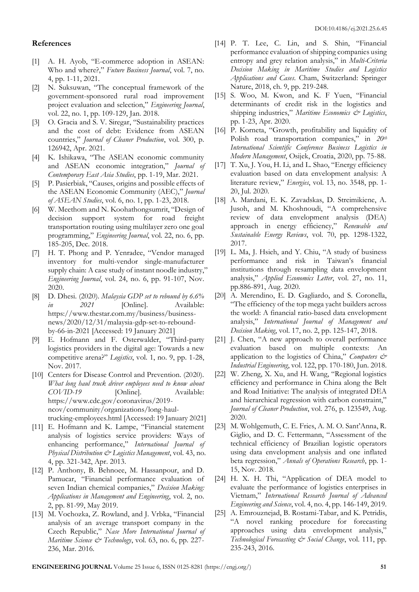### **References**

- [1] A. H. Ayob, "E-commerce adoption in ASEAN: Who and where?," *Future Business Journal*, vol. 7, no. 4, pp. 1-11, 2021.
- [2] N. Suksuwan, "The conceptual framework of the government-sponsored rural road improvement project evaluation and selection," *Engineering Journal*, vol. 22, no. 1, pp. 109-129, Jan. 2018.
- [3] O. Gracia and S. V. Siregar, "Sustainability practices and the cost of debt: Evidence from ASEAN countries," *Journal of Cleaner Production*, vol. 300, p. 126942, Apr. 2021.
- [4] K. Ishikawa, "The ASEAN economic community and ASEAN economic integration," *Journal of Contemporary East Asia Studies*, pp. 1-19, Mar. 2021.
- [5] P. Pasierbiak, "Causes, origins and possible effects of the ASEAN Economic Community (AEC)," *Journal of ASEAN Studies*, vol. 6, no. 1, pp. 1-23, 2018.
- [6] W. Meethom and N. Koohathongsumrit, "Design of decision support system for road freight transportation routing using multilayer zero one goal programming," *Engineering Journal*, vol. 22, no. 6, pp. 185-205, Dec. 2018.
- [7] H. T. Phong and P. Yenradee, "Vendor managed inventory for multi-vendor single-manufacturer supply chain: A case study of instant noodle industry," *Engineering Journal*, vol. 24, no. 6, pp. 91-107, Nov. 2020.
- [8] D. Dhesi. (2020). *Malaysia GDP set to rebound by 6.6% in* 2021 [Online]. Available: https://www.thestar.com.my/business/businessnews/2020/12/31/malaysia-gdp-set-to-reboundby-66-in-2021 [Accessed: 19 January 2021]
- [9] E. Hofmann and F. Osterwalder, "Third-party logistics providers in the digital age: Towards a new competitive arena?" *Logistics*, vol. 1, no. 9, pp. 1-28, Nov. 2017.
- [10] Centers for Disease Control and Prevention. (2020). *What long haul truck driver employees need to know about COVID-19* [Online]. Available: https://www.cdc.gov/coronavirus/2019 ncov/community/organizations/long-haultrucking-employees.html [Accessed: 19 January 2021]
- [11] E. Hofmann and K. Lampe, "Financial statement analysis of logistics service providers: Ways of enhancing performance," *International Journal of Physical Distribution & Logistics Management*, vol. 43, no. 4, pp. 321-342, Apr. 2013.
- [12] P. Anthony, B. Behnoee, M. Hassanpour, and D. Pamucar, "Financial performance evaluation of seven Indian chemical companies," *Decision Making: Applications in Management and Engineering*, vol. 2, no. 2, pp. 81-99, May 2019.
- [13] M. Vochozka, Z. Rowland, and J. Vrbka, "Financial analysis of an average transport company in the Czech Republic," *Nase More International Journal of Maritime Science & Technology*, vol. 63, no. 6, pp. 227- 236, Mar. 2016.
- [14] P. T. Lee, C. Lin, and S. Shin, "Financial performance evaluation of shipping companies using entropy and grey relation analysis," in *Multi-Criteria Decision Making in Maritime Studies and Logistics Applications and Cases*. Cham, Switzerland: Springer Nature, 2018, ch. 9, pp. 219-248.
- [15] S. Woo, M. Kwon, and K. F Yuen, "Financial determinants of credit risk in the logistics and shipping industries," *Maritime Economics & Logistics*, pp. 1-23, Apr. 2020.
- [16] P. Korneta, "Growth, profitability and liquidity of Polish road transportation companies," in *20th International Scientific Conference Business Logistics in Modern Management*, Osijek, Croatia, 2020, pp. 75-88.
- [17] T. Xu, J. You, H. Li, and L. Shao, "Energy efficiency evaluation based on data envelopment analysis: A literature review," *Energies*, vol. 13, no. 3548, pp. 1- 20, Jul. 2020.
- [18] A. Mardani, E. K. Zavadskas, D. Streimikiene, A. Jusoh, and M. Khoshnoudi, "A comprehensive review of data envelopment analysis (DEA) approach in energy efficiency," *Renewable and Sustainable Energy Reviews*, vol. 70, pp. 1298-1322, 2017.
- [19] L. Ma, J. Hsieh, and Y. Chiu, "A study of business performance and risk in Taiwan's financial institutions through resampling data envelopment analysis," *Applied Economics Letter*, vol. 27, no. 11, pp.886-891, Aug. 2020.
- [20] A. Merendino, E. D. Gagliardo, and S. Coronella, "The efficiency of the top mega yacht builders across the world: A financial ratio-based data envelopment analysis," *International Journal of Management and Decision Making*, vol. 17, no. 2, pp. 125-147, 2018.
- [21] J. Chen, "A new approach to overall performance evaluation based on multiple contexts: An application to the logistics of China," *Computers & Industrial Engineering*, vol. 122, pp. 170-180, Jun. 2018.
- [22] W. Zheng, X. Xu, and H. Wang, "Regional logistics efficiency and performance in China along the Belt and Road Initiative: The analysis of integrated DEA and hierarchical regression with carbon constraint," *Journal of Cleaner Production*, vol. 276, p. 123549, Aug. 2020.
- [23] M. Wohlgemuth, C. E. Fries, A. M. O. Sant'Anna, R. Giglio, and D. C. Fettermann, "Assessment of the technical efficiency of Brazilian logistic operators using data envelopment analysis and one inflated beta regression," *Annals of Operations Research*, pp. 1- 15, Nov. 2018.
- [24] H. X. H. Thi, "Application of DEA model to evaluate the performance of logistics enterprises in Vietnam," *International Research Journal of Advanced Engineering and Science*, vol. 4, no. 4, pp. 146-149, 2019.
- [25] A. Emrouznejad, B. Rostami-Tabar, and K. Petridis, "A novel ranking procedure for forecasting approaches using data envelopment analysis," *Technological Forecasting & Social Change*, vol. 111, pp. 235-243, 2016.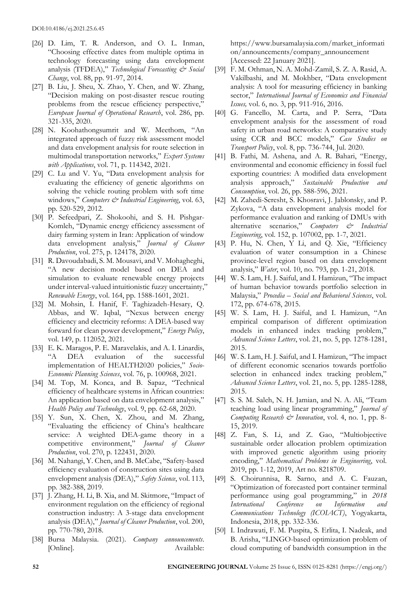- [26] D. Lim, T. R. Anderson, and O. L. Inman, "Choosing effective dates from multiple optima in technology forecasting using data envelopment analysis (TFDEA)," *Technological Forecasting & Social Change*, vol. 88, pp. 91-97, 2014.
- [27] B. Liu, J. Sheu, X. Zhao, Y. Chen, and W. Zhang, "Decision making on post-disaster rescue routing problems from the rescue efficiency perspective," *European Journal of Operational Research*, vol. 286, pp. 321-335, 2020.
- [28] N. Koohathongsumrit and W. Meethom, "An integrated approach of fuzzy risk assessment model and data envelopment analysis for route selection in multimodal transportation networks," *Expert Systems with Applications*, vol. 71, p. 114342, 2021.
- [29] C. Lu and V. Yu, "Data envelopment analysis for evaluating the efficiency of genetic algorithms on solving the vehicle routing problem with soft time windows," *Computers & Industrial Engineering*, vol. 63, pp. 520-529, 2012.
- [30] P. Sefeedpari, Z. Shokoohi, and S. H. Pishgar-Komleh, "Dynamic energy efficiency assessment of dairy farming system in Iran: Application of window data envelopment analysis," *Journal of Cleaner Production*, vol. 275, p. 124178, 2020.
- [31] R. Davoudabadi, S. M. Mousavi, and V. Mohagheghi, "A new decision model based on DEA and simulation to evaluate renewable energy projects under interval-valued intuitionistic fuzzy uncertainty," *Renewable Energy*, vol. 164, pp. 1588-1601, 2021.
- [32] M. Mohsin, I. Hanif, F. Taghizadeh-Hesary, Q. Abbas, and W. Iqbal, "Nexus between energy efficiency and electricity reforms: A DEA-based way forward for clean power development," *Energy Policy*, vol. 149, p. 112052, 2021.
- [33] E. K. Maragos, P. E. Maravelakis, and A. I. Linardis, "A DEA evaluation of the successful implementation of HEALTH2020 policies," *Socio-Economic Planning Sciences*, vol. 76, p. 100968, 2021.
- [34] M. Top, M. Konca, and B. Sapaz, "Technical efficiency of healthcare systems in African countries: An application based on data envelopment analysis," *Health Policy and Technology*, vol. 9, pp. 62-68, 2020.
- [35] Y. Sun, X. Chen, X. Zhou, and M. Zhang, "Evaluating the efficiency of China's healthcare service: A weighted DEA-game theory in a competitive environment," *Journal of Cleaner Production*, vol. 270, p. 122431, 2020.
- [36] M. Nahangi, Y. Chen, and B. McCabe, "Safety-based efficiency evaluation of construction sites using data envelopment analysis (DEA)," *Safety Science*, vol. 113, pp. 382-388, 2019.
- [37] J. Zhang, H. Li, B. Xia, and M. Skitmore, "Impact of environment regulation on the efficiency of regional construction industry: A 3-stage data envelopment analysis (DEA)," *Journal of Cleaner Production*, vol. 200, pp. 770-780, 2018.
- [38] Bursa Malaysia. (2021). *Company announcements*. [Online]. Available:

https://www.bursamalaysia.com/market\_informati on/announcements/company\_announcement [Accessed: 22 January 2021].

- [39] F. M. Othman, N. A. Mohd-Zamil, S. Z. A. Rasid, A. Vakilbashi, and M. Mokhber, "Data envelopment analysis: A tool for measuring efficiency in banking sector," *International Journal of Economics and Financial Issues,* vol. 6, no. 3, pp. 911-916, 2016.
- [40] G. Fancello, M. Carta, and P. Serra, "Data envelopment analysis for the assessment of road safety in urban road networks: A comparative study using CCR and BCC models," *Case Studies on Transport Policy*, vol. 8, pp. 736-744, Jul. 2020.
- [41] B. Fathi, M. Ashena, and A. R. Bahari, "Energy, environmental and economic efficiency in fossil fuel exporting countries: A modified data envelopment analysis approach," *Sustainable Production and Consumption*, vol. 26, pp. 588-596, 2021.
- [42] M. Zahedi-Seresht, S. Khosravi, J. Jablonsky, and P. Zykova, "A data envelopment analysis model for performance evaluation and ranking of DMUs with alternative scenarios," *Computers & Industrial Engineering*, vol. 152, p. 107002, pp. 1-7, 2021.
- [43] P. Hu, N. Chen, Y Li, and Q. Xie, "Efficiency evaluation of water consumption in a Chinese province-level region based on data envelopment analysis," *Water*, vol. 10, no. 793, pp. 1-21, 2018.
- [44] W. S. Lam, H. J. Saiful, and I. Hamizun, "The impact of human behavior towards portfolio selection in Malaysia," *Procedia – Social and Behavioral Sciences*, vol. 172, pp. 674-678, 2015.
- [45] W. S. Lam, H. J. Saiful, and I. Hamizun, "An empirical comparison of different optimization models in enhanced index tracking problem," *Advanced Science Letters*, vol. 21, no. 5, pp. 1278-1281, 2015.
- [46] W. S. Lam, H. J. Saiful, and I. Hamizun, "The impact of different economic scenarios towards portfolio selection in enhanced index tracking problem," *Advanced Science Letters*, vol. 21, no. 5, pp. 1285-1288, 2015.
- [47] S. S. M. Saleh, N. H. Jamian, and N. A. Ali, "Team teaching load using linear programming," *Journal of Computing Research & Innovation*, vol. 4, no. 1, pp. 8- 15, 2019.
- [48] Z. Fan, S. Li, and Z. Gao, "Multiobjective sustainable order allocation problem optimization with improved genetic algorithm using priority encoding," *Mathematical Problems in Engineering*, vol. 2019, pp. 1-12, 2019, Art no. 8218709.
- [49] S. Choirunnisa, R. Sarno, and A. C. Fauzan, "Optimization of forecasted port container terminal performance using goal programming," in *2018 International Conference on Information and Communications Technology (ICOIACT)*, Yogyakarta, Indonesia, 2018, pp. 332-336.
- [50] I. Indrawati, F. M. Puspita, S. Erlita, I. Nadeak, and B. Arisha, "LINGO-based optimization problem of cloud computing of bandwidth consumption in the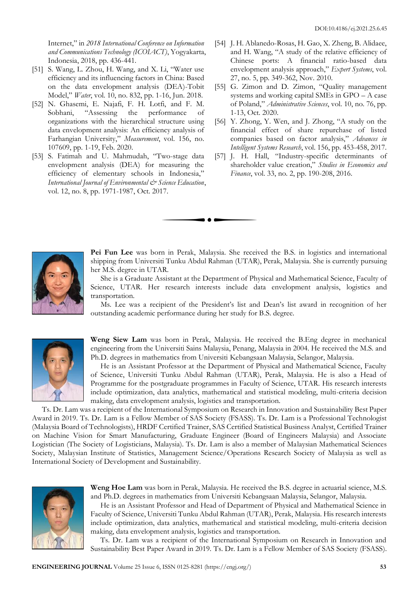Internet," in *2018 International Conference on Information and Communications Technology (ICOIACT)*, Yogyakarta, Indonesia, 2018, pp. 436-441.

- [51] S. Wang, L. Zhou, H. Wang, and X. Li, "Water use efficiency and its influencing factors in China: Based on the data envelopment analysis (DEA)-Tobit Model," *Water*, vol. 10, no. 832, pp. 1-16, Jun. 2018.
- [52] N. Ghasemi, E. Najafi, F. H. Lotfi, and F. M. Sobhani, "Assessing the performance of organizations with the hierarchical structure using data envelopment analysis: An efficiency analysis of Farhangian University," *Measurement*, vol. 156, no. 107609, pp. 1-19, Feb. 2020.
- [53] S. Fatimah and U. Mahmudah, "Two-stage data envelopment analysis (DEA) for measuring the efficiency of elementary schools in Indonesia," *International Journal of Environmental & Science Education*, vol. 12, no. 8, pp. 1971-1987, Oct. 2017.
- [54] J. H. Ablanedo-Rosas, H. Gao, X. Zheng, B. Alidaee, and H. Wang, "A study of the relative efficiency of Chinese ports: A financial ratio-based data envelopment analysis approach," *Expert Systems*, vol. 27, no. 5, pp. 349-362, Nov. 2010.
- [55] G. Zimon and D. Zimon, "Quality management systems and working capital SMEs in GPO – A case of Poland," *Administrative Sciences*, vol. 10, no. 76, pp. 1-13, Oct. 2020.
- [56] Y. Zhong, Y. Wen, and J. Zhong, "A study on the financial effect of share repurchase of listed companies based on factor analysis," *Advances in Intelligent Systems Research*, vol. 156, pp. 453-458, 2017.
- [57] J. H. Hall, "Industry-specific determinants of shareholder value creation," *Studies in Economics and Finance*, vol. 33, no. 2, pp. 190-208, 2016.



**Pei Fun Lee** was born in Perak, Malaysia. She received the B.S. in logistics and international shipping from Universiti Tunku Abdul Rahman (UTAR), Perak, Malaysia. She is currently pursuing her M.S. degree in UTAR.

She is a Graduate Assistant at the Department of Physical and Mathematical Science, Faculty of Science, UTAR. Her research interests include data envelopment analysis, logistics and transportation.

Ms. Lee was a recipient of the President's list and Dean's list award in recognition of her outstanding academic performance during her study for B.S. degree.



**Weng Siew Lam** was born in Perak, Malaysia. He received the B.Eng degree in mechanical engineering from the Universiti Sains Malaysia, Penang, Malaysia in 2004. He received the M.S. and Ph.D. degrees in mathematics from Universiti Kebangsaan Malaysia, Selangor, Malaysia.

He is an Assistant Professor at the Department of Physical and Mathematical Science, Faculty of Science, Universiti Tunku Abdul Rahman (UTAR), Perak, Malaysia. He is also a Head of Programme for the postgraduate programmes in Faculty of Science, UTAR. His research interests include optimization, data analytics, mathematical and statistical modeling, multi-criteria decision making, data envelopment analysis, logistics and transportation.

Ts. Dr. Lam was a recipient of the International Symposium on Research in Innovation and Sustainability Best Paper Award in 2019. Ts. Dr. Lam is a Fellow Member of SAS Society (FSASS). Ts. Dr. Lam is a Professional Technologist (Malaysia Board of Technologists), HRDF Certified Trainer, SAS Certified Statistical Business Analyst, Certified Trainer on Machine Vision for Smart Manufacturing, Graduate Engineer (Board of Engineers Malaysia) and Associate Logistician (The Society of Logisticians, Malaysia). Ts. Dr. Lam is also a member of Malaysian Mathematical Sciences Society, Malaysian Institute of Statistics, Management Science/Operations Research Society of Malaysia as well as International Society of Development and Sustainability.



**Weng Hoe Lam** was born in Perak, Malaysia. He received the B.S. degree in actuarial science, M.S. and Ph.D. degrees in mathematics from Universiti Kebangsaan Malaysia, Selangor, Malaysia.

He is an Assistant Professor and Head of Department of Physical and Mathematical Science in Faculty of Science, Universiti Tunku Abdul Rahman (UTAR), Perak, Malaysia. His research interests include optimization, data analytics, mathematical and statistical modeling, multi-criteria decision making, data envelopment analysis, logistics and transportation.

Ts. Dr. Lam was a recipient of the International Symposium on Research in Innovation and Sustainability Best Paper Award in 2019. Ts. Dr. Lam is a Fellow Member of SAS Society (FSASS).